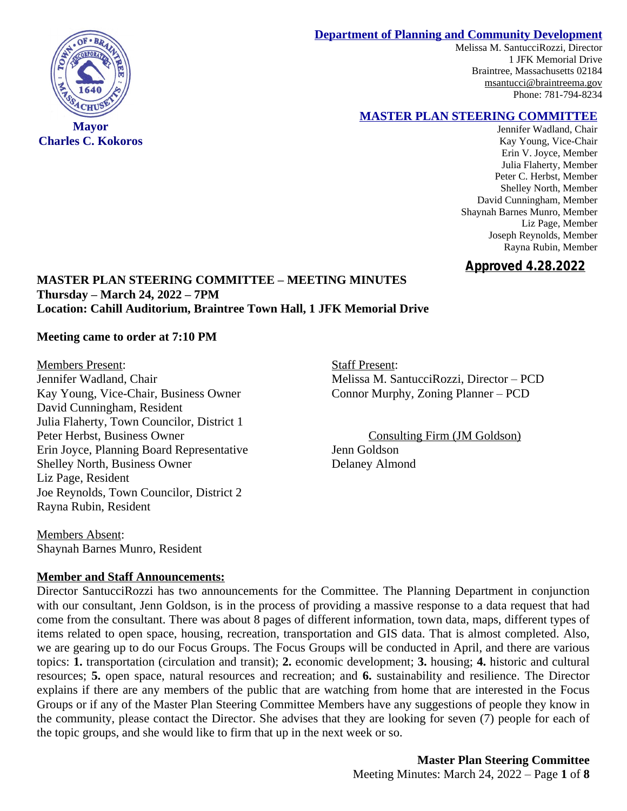#### **Department of Planning and Community Development**

Melissa M. SantucciRozzi, Director 1 JFK Memorial Drive Braintree, Massachusetts 02184 [msantucci@braintreema.gov](mailto:msantucci@braintreema.gov) Phone: 781-794-8234

#### **MASTER PLAN STEERING COMMITTEE**

Jennifer Wadland, Chair Kay Young, Vice-Chair Erin V. Joyce, Member Julia Flaherty, Member Peter C. Herbst, Member Shelley North, Member David Cunningham, Member Shaynah Barnes Munro, Member Liz Page, Member Joseph Reynolds, Member Rayna Rubin, Member

# **Approved 4.28.2022**

## **MASTER PLAN STEERING COMMITTEE – MEETING MINUTES Thursday – March 24, 2022 – 7PM Location: Cahill Auditorium, Braintree Town Hall, 1 JFK Memorial Drive**

#### **Meeting came to order at 7:10 PM**

Members Present: Staff Present: Kay Young, Vice-Chair, Business Owner Connor Murphy, Zoning Planner – PCD David Cunningham, Resident Julia Flaherty, Town Councilor, District 1 Peter Herbst, Business Owner Consulting Firm (JM Goldson) Erin Joyce, Planning Board Representative Jenn Goldson Shelley North, Business Owner Delaney Almond Liz Page, Resident Joe Reynolds, Town Councilor, District 2 Rayna Rubin, Resident

Members Absent: Shaynah Barnes Munro, Resident

#### **Member and Staff Announcements:**

Director SantucciRozzi has two announcements for the Committee. The Planning Department in conjunction with our consultant, Jenn Goldson, is in the process of providing a massive response to a data request that had come from the consultant. There was about 8 pages of different information, town data, maps, different types of items related to open space, housing, recreation, transportation and GIS data. That is almost completed. Also, we are gearing up to do our Focus Groups. The Focus Groups will be conducted in April, and there are various topics: **1.** transportation (circulation and transit); **2.** economic development; **3.** housing; **4.** historic and cultural resources; **5.** open space, natural resources and recreation; and **6.** sustainability and resilience. The Director explains if there are any members of the public that are watching from home that are interested in the Focus Groups or if any of the Master Plan Steering Committee Members have any suggestions of people they know in the community, please contact the Director. She advises that they are looking for seven (7) people for each of the topic groups, and she would like to firm that up in the next week or so.

> **Master Plan Steering Committee** Meeting Minutes: March 24, 2022 – Page **1** of **8**



**Mayor Charles C. Kokoros**

Jennifer Wadland, Chair Melissa M. SantucciRozzi, Director – PCD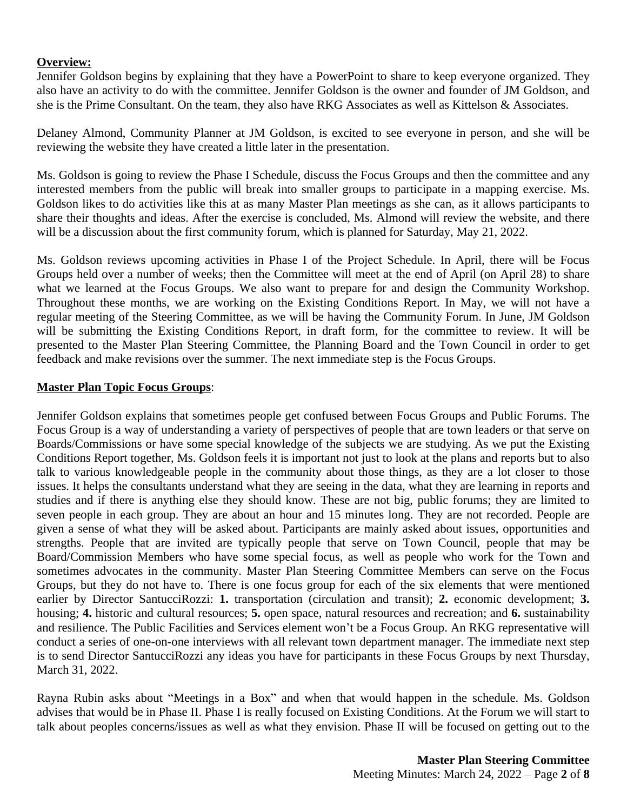# **Overview:**

Jennifer Goldson begins by explaining that they have a PowerPoint to share to keep everyone organized. They also have an activity to do with the committee. Jennifer Goldson is the owner and founder of JM Goldson, and she is the Prime Consultant. On the team, they also have RKG Associates as well as Kittelson & Associates.

Delaney Almond, Community Planner at JM Goldson, is excited to see everyone in person, and she will be reviewing the website they have created a little later in the presentation.

Ms. Goldson is going to review the Phase I Schedule, discuss the Focus Groups and then the committee and any interested members from the public will break into smaller groups to participate in a mapping exercise. Ms. Goldson likes to do activities like this at as many Master Plan meetings as she can, as it allows participants to share their thoughts and ideas. After the exercise is concluded, Ms. Almond will review the website, and there will be a discussion about the first community forum, which is planned for Saturday, May 21, 2022.

Ms. Goldson reviews upcoming activities in Phase I of the Project Schedule. In April, there will be Focus Groups held over a number of weeks; then the Committee will meet at the end of April (on April 28) to share what we learned at the Focus Groups. We also want to prepare for and design the Community Workshop. Throughout these months, we are working on the Existing Conditions Report. In May, we will not have a regular meeting of the Steering Committee, as we will be having the Community Forum. In June, JM Goldson will be submitting the Existing Conditions Report, in draft form, for the committee to review. It will be presented to the Master Plan Steering Committee, the Planning Board and the Town Council in order to get feedback and make revisions over the summer. The next immediate step is the Focus Groups.

## **Master Plan Topic Focus Groups**:

Jennifer Goldson explains that sometimes people get confused between Focus Groups and Public Forums. The Focus Group is a way of understanding a variety of perspectives of people that are town leaders or that serve on Boards/Commissions or have some special knowledge of the subjects we are studying. As we put the Existing Conditions Report together, Ms. Goldson feels it is important not just to look at the plans and reports but to also talk to various knowledgeable people in the community about those things, as they are a lot closer to those issues. It helps the consultants understand what they are seeing in the data, what they are learning in reports and studies and if there is anything else they should know. These are not big, public forums; they are limited to seven people in each group. They are about an hour and 15 minutes long. They are not recorded. People are given a sense of what they will be asked about. Participants are mainly asked about issues, opportunities and strengths. People that are invited are typically people that serve on Town Council, people that may be Board/Commission Members who have some special focus, as well as people who work for the Town and sometimes advocates in the community. Master Plan Steering Committee Members can serve on the Focus Groups, but they do not have to. There is one focus group for each of the six elements that were mentioned earlier by Director SantucciRozzi: **1.** transportation (circulation and transit); **2.** economic development; **3.** housing; **4.** historic and cultural resources; **5.** open space, natural resources and recreation; and **6.** sustainability and resilience. The Public Facilities and Services element won't be a Focus Group. An RKG representative will conduct a series of one-on-one interviews with all relevant town department manager. The immediate next step is to send Director SantucciRozzi any ideas you have for participants in these Focus Groups by next Thursday, March 31, 2022.

Rayna Rubin asks about "Meetings in a Box" and when that would happen in the schedule. Ms. Goldson advises that would be in Phase II. Phase I is really focused on Existing Conditions. At the Forum we will start to talk about peoples concerns/issues as well as what they envision. Phase II will be focused on getting out to the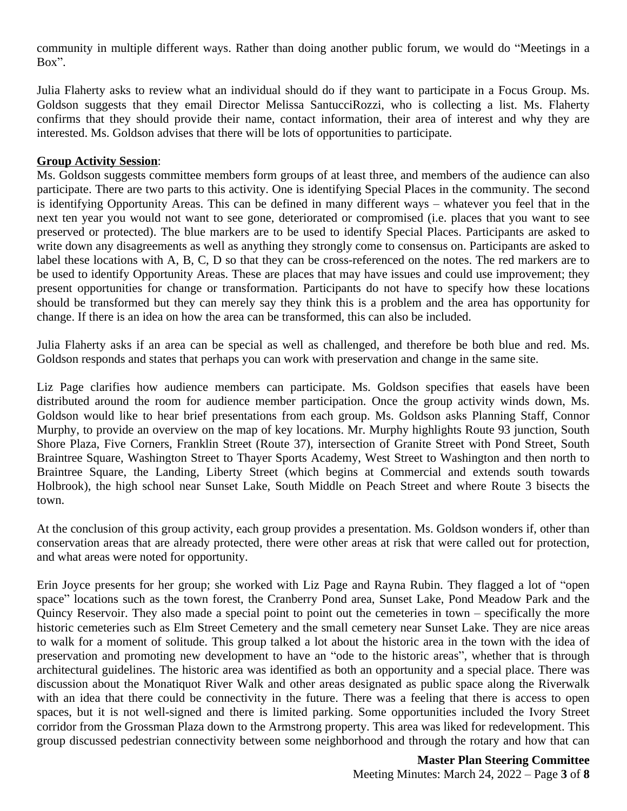community in multiple different ways. Rather than doing another public forum, we would do "Meetings in a Box".

Julia Flaherty asks to review what an individual should do if they want to participate in a Focus Group. Ms. Goldson suggests that they email Director Melissa SantucciRozzi, who is collecting a list. Ms. Flaherty confirms that they should provide their name, contact information, their area of interest and why they are interested. Ms. Goldson advises that there will be lots of opportunities to participate.

## **Group Activity Session**:

Ms. Goldson suggests committee members form groups of at least three, and members of the audience can also participate. There are two parts to this activity. One is identifying Special Places in the community. The second is identifying Opportunity Areas. This can be defined in many different ways – whatever you feel that in the next ten year you would not want to see gone, deteriorated or compromised (i.e. places that you want to see preserved or protected). The blue markers are to be used to identify Special Places. Participants are asked to write down any disagreements as well as anything they strongly come to consensus on. Participants are asked to label these locations with A, B, C, D so that they can be cross-referenced on the notes. The red markers are to be used to identify Opportunity Areas. These are places that may have issues and could use improvement; they present opportunities for change or transformation. Participants do not have to specify how these locations should be transformed but they can merely say they think this is a problem and the area has opportunity for change. If there is an idea on how the area can be transformed, this can also be included.

Julia Flaherty asks if an area can be special as well as challenged, and therefore be both blue and red. Ms. Goldson responds and states that perhaps you can work with preservation and change in the same site.

Liz Page clarifies how audience members can participate. Ms. Goldson specifies that easels have been distributed around the room for audience member participation. Once the group activity winds down, Ms. Goldson would like to hear brief presentations from each group. Ms. Goldson asks Planning Staff, Connor Murphy, to provide an overview on the map of key locations. Mr. Murphy highlights Route 93 junction, South Shore Plaza, Five Corners, Franklin Street (Route 37), intersection of Granite Street with Pond Street, South Braintree Square, Washington Street to Thayer Sports Academy, West Street to Washington and then north to Braintree Square, the Landing, Liberty Street (which begins at Commercial and extends south towards Holbrook), the high school near Sunset Lake, South Middle on Peach Street and where Route 3 bisects the town.

At the conclusion of this group activity, each group provides a presentation. Ms. Goldson wonders if, other than conservation areas that are already protected, there were other areas at risk that were called out for protection, and what areas were noted for opportunity.

Erin Joyce presents for her group; she worked with Liz Page and Rayna Rubin. They flagged a lot of "open space" locations such as the town forest, the Cranberry Pond area, Sunset Lake, Pond Meadow Park and the Quincy Reservoir. They also made a special point to point out the cemeteries in town – specifically the more historic cemeteries such as Elm Street Cemetery and the small cemetery near Sunset Lake. They are nice areas to walk for a moment of solitude. This group talked a lot about the historic area in the town with the idea of preservation and promoting new development to have an "ode to the historic areas", whether that is through architectural guidelines. The historic area was identified as both an opportunity and a special place. There was discussion about the Monatiquot River Walk and other areas designated as public space along the Riverwalk with an idea that there could be connectivity in the future. There was a feeling that there is access to open spaces, but it is not well-signed and there is limited parking. Some opportunities included the Ivory Street corridor from the Grossman Plaza down to the Armstrong property. This area was liked for redevelopment. This group discussed pedestrian connectivity between some neighborhood and through the rotary and how that can

> **Master Plan Steering Committee** Meeting Minutes: March 24, 2022 – Page **3** of **8**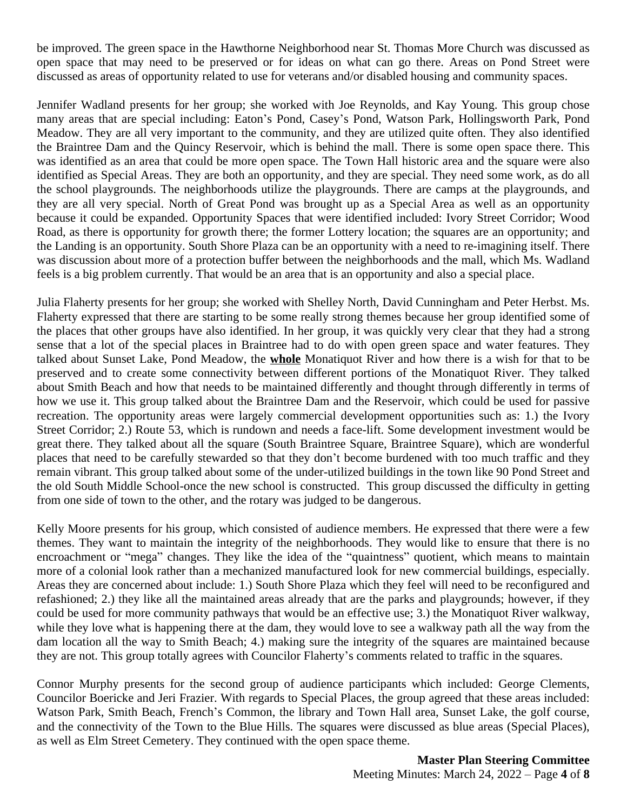be improved. The green space in the Hawthorne Neighborhood near St. Thomas More Church was discussed as open space that may need to be preserved or for ideas on what can go there. Areas on Pond Street were discussed as areas of opportunity related to use for veterans and/or disabled housing and community spaces.

Jennifer Wadland presents for her group; she worked with Joe Reynolds, and Kay Young. This group chose many areas that are special including: Eaton's Pond, Casey's Pond, Watson Park, Hollingsworth Park, Pond Meadow. They are all very important to the community, and they are utilized quite often. They also identified the Braintree Dam and the Quincy Reservoir, which is behind the mall. There is some open space there. This was identified as an area that could be more open space. The Town Hall historic area and the square were also identified as Special Areas. They are both an opportunity, and they are special. They need some work, as do all the school playgrounds. The neighborhoods utilize the playgrounds. There are camps at the playgrounds, and they are all very special. North of Great Pond was brought up as a Special Area as well as an opportunity because it could be expanded. Opportunity Spaces that were identified included: Ivory Street Corridor; Wood Road, as there is opportunity for growth there; the former Lottery location; the squares are an opportunity; and the Landing is an opportunity. South Shore Plaza can be an opportunity with a need to re-imagining itself. There was discussion about more of a protection buffer between the neighborhoods and the mall, which Ms. Wadland feels is a big problem currently. That would be an area that is an opportunity and also a special place.

Julia Flaherty presents for her group; she worked with Shelley North, David Cunningham and Peter Herbst. Ms. Flaherty expressed that there are starting to be some really strong themes because her group identified some of the places that other groups have also identified. In her group, it was quickly very clear that they had a strong sense that a lot of the special places in Braintree had to do with open green space and water features. They talked about Sunset Lake, Pond Meadow, the **whole** Monatiquot River and how there is a wish for that to be preserved and to create some connectivity between different portions of the Monatiquot River. They talked about Smith Beach and how that needs to be maintained differently and thought through differently in terms of how we use it. This group talked about the Braintree Dam and the Reservoir, which could be used for passive recreation. The opportunity areas were largely commercial development opportunities such as: 1.) the Ivory Street Corridor; 2.) Route 53, which is rundown and needs a face-lift. Some development investment would be great there. They talked about all the square (South Braintree Square, Braintree Square), which are wonderful places that need to be carefully stewarded so that they don't become burdened with too much traffic and they remain vibrant. This group talked about some of the under-utilized buildings in the town like 90 Pond Street and the old South Middle School-once the new school is constructed. This group discussed the difficulty in getting from one side of town to the other, and the rotary was judged to be dangerous.

Kelly Moore presents for his group, which consisted of audience members. He expressed that there were a few themes. They want to maintain the integrity of the neighborhoods. They would like to ensure that there is no encroachment or "mega" changes. They like the idea of the "quaintness" quotient, which means to maintain more of a colonial look rather than a mechanized manufactured look for new commercial buildings, especially. Areas they are concerned about include: 1.) South Shore Plaza which they feel will need to be reconfigured and refashioned; 2.) they like all the maintained areas already that are the parks and playgrounds; however, if they could be used for more community pathways that would be an effective use; 3.) the Monatiquot River walkway, while they love what is happening there at the dam, they would love to see a walkway path all the way from the dam location all the way to Smith Beach; 4.) making sure the integrity of the squares are maintained because they are not. This group totally agrees with Councilor Flaherty's comments related to traffic in the squares.

Connor Murphy presents for the second group of audience participants which included: George Clements, Councilor Boericke and Jeri Frazier. With regards to Special Places, the group agreed that these areas included: Watson Park, Smith Beach, French's Common, the library and Town Hall area, Sunset Lake, the golf course, and the connectivity of the Town to the Blue Hills. The squares were discussed as blue areas (Special Places), as well as Elm Street Cemetery. They continued with the open space theme.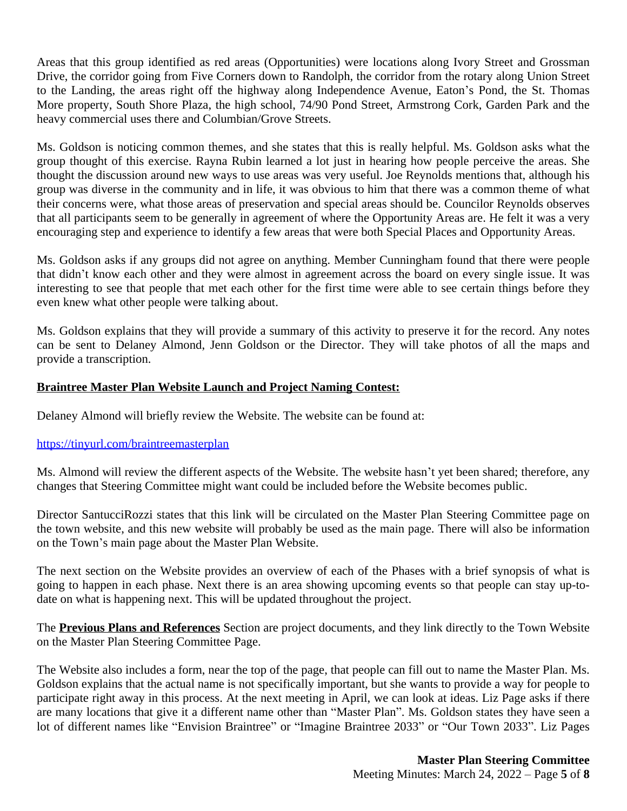Areas that this group identified as red areas (Opportunities) were locations along Ivory Street and Grossman Drive, the corridor going from Five Corners down to Randolph, the corridor from the rotary along Union Street to the Landing, the areas right off the highway along Independence Avenue, Eaton's Pond, the St. Thomas More property, South Shore Plaza, the high school, 74/90 Pond Street, Armstrong Cork, Garden Park and the heavy commercial uses there and Columbian/Grove Streets.

Ms. Goldson is noticing common themes, and she states that this is really helpful. Ms. Goldson asks what the group thought of this exercise. Rayna Rubin learned a lot just in hearing how people perceive the areas. She thought the discussion around new ways to use areas was very useful. Joe Reynolds mentions that, although his group was diverse in the community and in life, it was obvious to him that there was a common theme of what their concerns were, what those areas of preservation and special areas should be. Councilor Reynolds observes that all participants seem to be generally in agreement of where the Opportunity Areas are. He felt it was a very encouraging step and experience to identify a few areas that were both Special Places and Opportunity Areas.

Ms. Goldson asks if any groups did not agree on anything. Member Cunningham found that there were people that didn't know each other and they were almost in agreement across the board on every single issue. It was interesting to see that people that met each other for the first time were able to see certain things before they even knew what other people were talking about.

Ms. Goldson explains that they will provide a summary of this activity to preserve it for the record. Any notes can be sent to Delaney Almond, Jenn Goldson or the Director. They will take photos of all the maps and provide a transcription.

# **Braintree Master Plan Website Launch and Project Naming Contest:**

Delaney Almond will briefly review the Website. The website can be found at:

# <https://tinyurl.com/braintreemasterplan>

Ms. Almond will review the different aspects of the Website. The website hasn't yet been shared; therefore, any changes that Steering Committee might want could be included before the Website becomes public.

Director SantucciRozzi states that this link will be circulated on the Master Plan Steering Committee page on the town website, and this new website will probably be used as the main page. There will also be information on the Town's main page about the Master Plan Website.

The next section on the Website provides an overview of each of the Phases with a brief synopsis of what is going to happen in each phase. Next there is an area showing upcoming events so that people can stay up-todate on what is happening next. This will be updated throughout the project.

The **Previous Plans and References** Section are project documents, and they link directly to the Town Website on the Master Plan Steering Committee Page.

The Website also includes a form, near the top of the page, that people can fill out to name the Master Plan. Ms. Goldson explains that the actual name is not specifically important, but she wants to provide a way for people to participate right away in this process. At the next meeting in April, we can look at ideas. Liz Page asks if there are many locations that give it a different name other than "Master Plan". Ms. Goldson states they have seen a lot of different names like "Envision Braintree" or "Imagine Braintree 2033" or "Our Town 2033". Liz Pages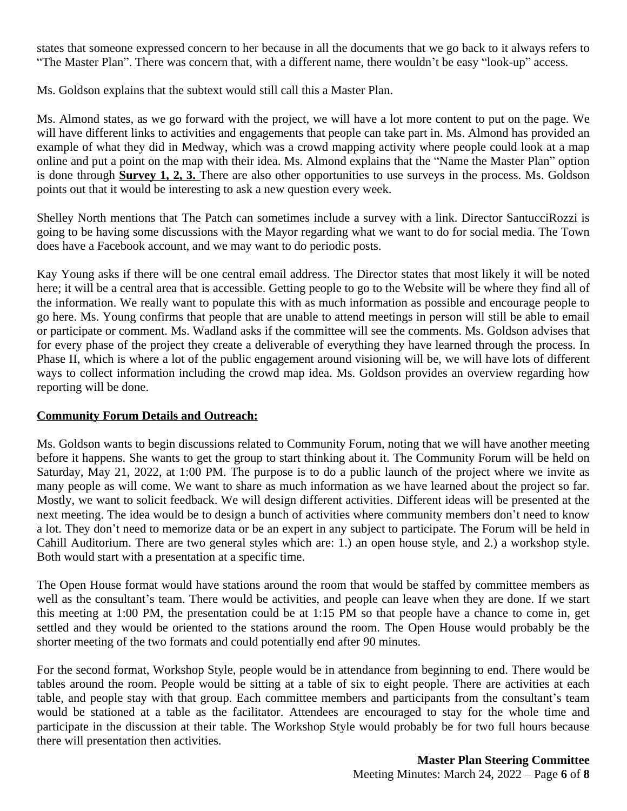states that someone expressed concern to her because in all the documents that we go back to it always refers to "The Master Plan". There was concern that, with a different name, there wouldn't be easy "look-up" access.

Ms. Goldson explains that the subtext would still call this a Master Plan.

Ms. Almond states, as we go forward with the project, we will have a lot more content to put on the page. We will have different links to activities and engagements that people can take part in. Ms. Almond has provided an example of what they did in Medway, which was a crowd mapping activity where people could look at a map online and put a point on the map with their idea. Ms. Almond explains that the "Name the Master Plan" option is done through **Survey 1, 2, 3.** There are also other opportunities to use surveys in the process. Ms. Goldson points out that it would be interesting to ask a new question every week.

Shelley North mentions that The Patch can sometimes include a survey with a link. Director SantucciRozzi is going to be having some discussions with the Mayor regarding what we want to do for social media. The Town does have a Facebook account, and we may want to do periodic posts.

Kay Young asks if there will be one central email address. The Director states that most likely it will be noted here; it will be a central area that is accessible. Getting people to go to the Website will be where they find all of the information. We really want to populate this with as much information as possible and encourage people to go here. Ms. Young confirms that people that are unable to attend meetings in person will still be able to email or participate or comment. Ms. Wadland asks if the committee will see the comments. Ms. Goldson advises that for every phase of the project they create a deliverable of everything they have learned through the process. In Phase II, which is where a lot of the public engagement around visioning will be, we will have lots of different ways to collect information including the crowd map idea. Ms. Goldson provides an overview regarding how reporting will be done.

# **Community Forum Details and Outreach:**

Ms. Goldson wants to begin discussions related to Community Forum, noting that we will have another meeting before it happens. She wants to get the group to start thinking about it. The Community Forum will be held on Saturday, May 21, 2022, at 1:00 PM. The purpose is to do a public launch of the project where we invite as many people as will come. We want to share as much information as we have learned about the project so far. Mostly, we want to solicit feedback. We will design different activities. Different ideas will be presented at the next meeting. The idea would be to design a bunch of activities where community members don't need to know a lot. They don't need to memorize data or be an expert in any subject to participate. The Forum will be held in Cahill Auditorium. There are two general styles which are: 1.) an open house style, and 2.) a workshop style. Both would start with a presentation at a specific time.

The Open House format would have stations around the room that would be staffed by committee members as well as the consultant's team. There would be activities, and people can leave when they are done. If we start this meeting at 1:00 PM, the presentation could be at 1:15 PM so that people have a chance to come in, get settled and they would be oriented to the stations around the room. The Open House would probably be the shorter meeting of the two formats and could potentially end after 90 minutes.

For the second format, Workshop Style, people would be in attendance from beginning to end. There would be tables around the room. People would be sitting at a table of six to eight people. There are activities at each table, and people stay with that group. Each committee members and participants from the consultant's team would be stationed at a table as the facilitator. Attendees are encouraged to stay for the whole time and participate in the discussion at their table. The Workshop Style would probably be for two full hours because there will presentation then activities.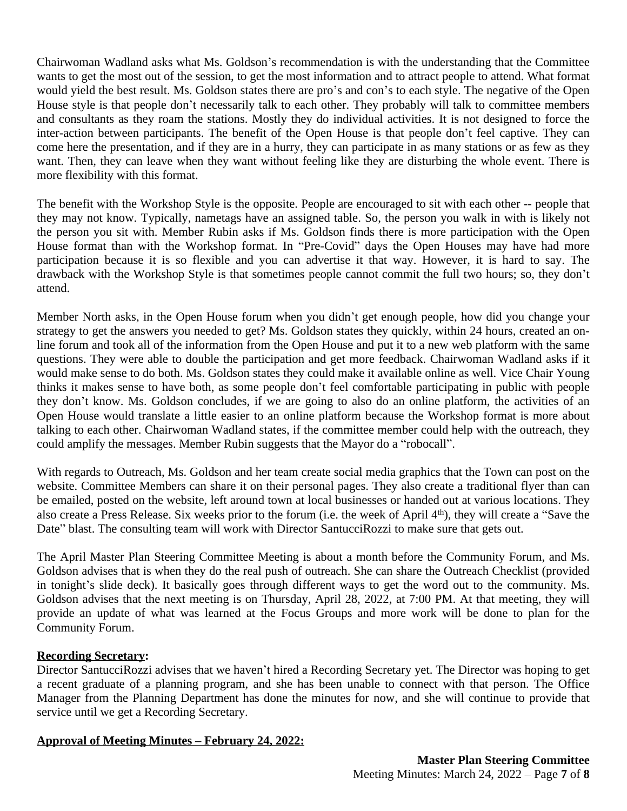Chairwoman Wadland asks what Ms. Goldson's recommendation is with the understanding that the Committee wants to get the most out of the session, to get the most information and to attract people to attend. What format would yield the best result. Ms. Goldson states there are pro's and con's to each style. The negative of the Open House style is that people don't necessarily talk to each other. They probably will talk to committee members and consultants as they roam the stations. Mostly they do individual activities. It is not designed to force the inter-action between participants. The benefit of the Open House is that people don't feel captive. They can come here the presentation, and if they are in a hurry, they can participate in as many stations or as few as they want. Then, they can leave when they want without feeling like they are disturbing the whole event. There is more flexibility with this format.

The benefit with the Workshop Style is the opposite. People are encouraged to sit with each other -- people that they may not know. Typically, nametags have an assigned table. So, the person you walk in with is likely not the person you sit with. Member Rubin asks if Ms. Goldson finds there is more participation with the Open House format than with the Workshop format. In "Pre-Covid" days the Open Houses may have had more participation because it is so flexible and you can advertise it that way. However, it is hard to say. The drawback with the Workshop Style is that sometimes people cannot commit the full two hours; so, they don't attend.

Member North asks, in the Open House forum when you didn't get enough people, how did you change your strategy to get the answers you needed to get? Ms. Goldson states they quickly, within 24 hours, created an online forum and took all of the information from the Open House and put it to a new web platform with the same questions. They were able to double the participation and get more feedback. Chairwoman Wadland asks if it would make sense to do both. Ms. Goldson states they could make it available online as well. Vice Chair Young thinks it makes sense to have both, as some people don't feel comfortable participating in public with people they don't know. Ms. Goldson concludes, if we are going to also do an online platform, the activities of an Open House would translate a little easier to an online platform because the Workshop format is more about talking to each other. Chairwoman Wadland states, if the committee member could help with the outreach, they could amplify the messages. Member Rubin suggests that the Mayor do a "robocall".

With regards to Outreach, Ms. Goldson and her team create social media graphics that the Town can post on the website. Committee Members can share it on their personal pages. They also create a traditional flyer than can be emailed, posted on the website, left around town at local businesses or handed out at various locations. They also create a Press Release. Six weeks prior to the forum (i.e. the week of April 4<sup>th</sup>), they will create a "Save the Date" blast. The consulting team will work with Director SantucciRozzi to make sure that gets out.

The April Master Plan Steering Committee Meeting is about a month before the Community Forum, and Ms. Goldson advises that is when they do the real push of outreach. She can share the Outreach Checklist (provided in tonight's slide deck). It basically goes through different ways to get the word out to the community. Ms. Goldson advises that the next meeting is on Thursday, April 28, 2022, at 7:00 PM. At that meeting, they will provide an update of what was learned at the Focus Groups and more work will be done to plan for the Community Forum.

# **Recording Secretary:**

Director SantucciRozzi advises that we haven't hired a Recording Secretary yet. The Director was hoping to get a recent graduate of a planning program, and she has been unable to connect with that person. The Office Manager from the Planning Department has done the minutes for now, and she will continue to provide that service until we get a Recording Secretary.

# **Approval of Meeting Minutes – February 24, 2022:**